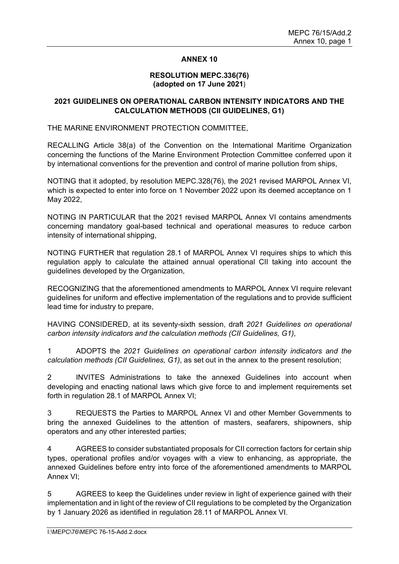## **ANNEX 10**

#### **RESOLUTION MEPC.336(76) (adopted on 17 June 2021**)

# **2021 GUIDELINES ON OPERATIONAL CARBON INTENSITY INDICATORS AND THE CALCULATION METHODS (CII GUIDELINES, G1)**

# THE MARINE ENVIRONMENT PROTECTION COMMITTEE,

RECALLING Article 38(a) of the Convention on the International Maritime Organization concerning the functions of the Marine Environment Protection Committee conferred upon it by international conventions for the prevention and control of marine pollution from ships,

NOTING that it adopted, by resolution MEPC.328(76), the 2021 revised MARPOL Annex VI, which is expected to enter into force on 1 November 2022 upon its deemed acceptance on 1 May 2022,

NOTING IN PARTICULAR that the 2021 revised MARPOL Annex VI contains amendments concerning mandatory goal-based technical and operational measures to reduce carbon intensity of international shipping,

NOTING FURTHER that regulation 28.1 of MARPOL Annex VI requires ships to which this regulation apply to calculate the attained annual operational CII taking into account the guidelines developed by the Organization,

RECOGNIZING that the aforementioned amendments to MARPOL Annex VI require relevant guidelines for uniform and effective implementation of the regulations and to provide sufficient lead time for industry to prepare,

HAVING CONSIDERED, at its seventy-sixth session, draft *2021 Guidelines on operational carbon intensity indicators and the calculation methods (CII Guidelines, G1)*,

1 ADOPTS the *2021 Guidelines on operational carbon intensity indicators and the calculation methods (CII Guidelines, G1)*, as set out in the annex to the present resolution;

2 INVITES Administrations to take the annexed Guidelines into account when developing and enacting national laws which give force to and implement requirements set forth in regulation 28.1 of MARPOL Annex VI;

3 REQUESTS the Parties to MARPOL Annex VI and other Member Governments to bring the annexed Guidelines to the attention of masters, seafarers, shipowners, ship operators and any other interested parties;

4 AGREES to consider substantiated proposals for CII correction factors for certain ship types, operational profiles and/or voyages with a view to enhancing, as appropriate, the annexed Guidelines before entry into force of the aforementioned amendments to MARPOL Annex VI;

5 AGREES to keep the Guidelines under review in light of experience gained with their implementation and in light of the review of CII regulations to be completed by the Organization by 1 January 2026 as identified in regulation 28.11 of MARPOL Annex VI.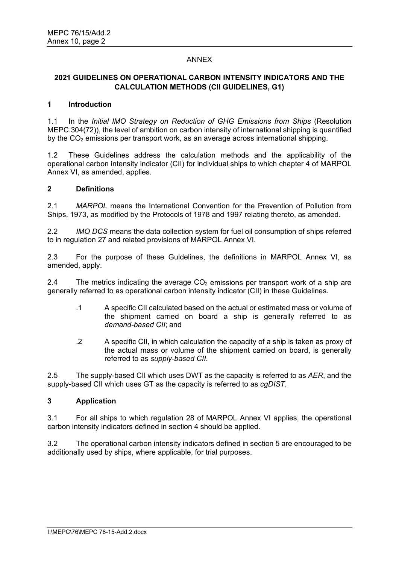# ANNEX

# **2021 GUIDELINES ON OPERATIONAL CARBON INTENSITY INDICATORS AND THE CALCULATION METHODS (CII GUIDELINES, G1)**

## **1 Introduction**

1.1 In the *Initial IMO Strategy on Reduction of GHG Emissions from Ships* (Resolution MEPC.304(72)), the level of ambition on carbon intensity of international shipping is quantified by the  $CO<sub>2</sub>$  emissions per transport work, as an average across international shipping.

1.2 These Guidelines address the calculation methods and the applicability of the operational carbon intensity indicator (CII) for individual ships to which chapter 4 of MARPOL Annex VI, as amended, applies.

### **2 Definitions**

2.1 *MARPOL* means the International Convention for the Prevention of Pollution from Ships, 1973, as modified by the Protocols of 1978 and 1997 relating thereto, as amended.

2.2 *IMO DCS* means the data collection system for fuel oil consumption of ships referred to in regulation 27 and related provisions of MARPOL Annex VI.

2.3 For the purpose of these Guidelines, the definitions in MARPOL Annex VI, as amended, apply.

2.4 The metrics indicating the average  $CO<sub>2</sub>$  emissions per transport work of a ship are generally referred to as operational carbon intensity indicator (CII) in these Guidelines.

- .1 A specific CII calculated based on the actual or estimated mass or volume of the shipment carried on board a ship is generally referred to as *demand-based CII*; and
- .2 A specific CII, in which calculation the capacity of a ship is taken as proxy of the actual mass or volume of the shipment carried on board, is generally referred to as *supply-based CII*.

2.5 The supply-based CII which uses DWT as the capacity is referred to as *AER*, and the supply-based CII which uses GT as the capacity is referred to as *cgDIST*.

## **3 Application**

3.1 For all ships to which regulation 28 of MARPOL Annex VI applies, the operational carbon intensity indicators defined in section 4 should be applied.

3.2 The operational carbon intensity indicators defined in section 5 are encouraged to be additionally used by ships, where applicable, for trial purposes.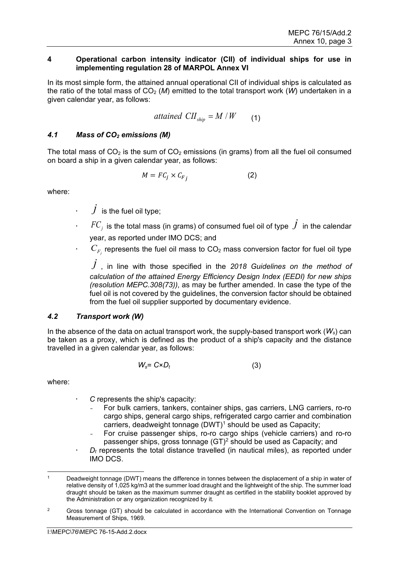#### **4 Operational carbon intensity indicator (CII) of individual ships for use in implementing regulation 28 of MARPOL Annex VI**

In its most simple form, the attained annual operational CII of individual ships is calculated as the ratio of the total mass of  $CO<sub>2</sub>$  (*M*) emitted to the total transport work (*W*) undertaken in a given calendar year, as follows:

$$
attained \,\,CH_{ship} = M/W \qquad (1)
$$

# *4.1 Mass of CO2 emissions (M)*

The total mass of  $CO<sub>2</sub>$  is the sum of  $CO<sub>2</sub>$  emissions (in grams) from all the fuel oil consumed on board a ship in a given calendar year, as follows:

$$
M = F C_j \times C_{F_j} \tag{2}
$$

where:

- $\cdot$   $\quad$   $\dot{J}$  is the fuel oil type;
- $i\in F$  is the total mass (in grams) of consumed fuel oil of type  $\,\dot{J}\,$  in the calendar year, as reported under IMO DCS; and
- $\cdot$   $\quad$   $C_{F_j}$  represents the fuel oil mass to CO $_2$  mass conversion factor for fuel oil type

 $\dot{J}$  , in line with those specified in the 2018 G*uidelines on the method of calculation of the attained Energy Efficiency Design Index (EEDI) for new ships (resolution MEPC.308(73))*, as may be further amended. In case the type of the fuel oil is not covered by the guidelines, the conversion factor should be obtained from the fuel oil supplier supported by documentary evidence.

## *4.2 Transport work (W)*

In the absence of the data on actual transport work, the supply-based transport work (*Ws*) can be taken as a proxy, which is defined as the product of a shipʹs capacity and the distance travelled in a given calendar year, as follows:

$$
W_s = C \times D_t \tag{3}
$$

where:

- *C* represents the shipʹs capacity:
	- For bulk carriers, tankers, container ships, gas carriers, LNG carriers, ro-ro cargo ships, general cargo ships, refrigerated cargo carrier and combination carriers, deadweight tonnage  $(DWT)^1$  $(DWT)^1$  should be used as Capacity;
	- For cruise passenger ships, ro-ro cargo ships (vehicle carriers) and ro-ro passenger ships, gross tonnage  $(GT)^2$  $(GT)^2$  should be used as Capacity; and
- $D_t$  represents the total distance travelled (in nautical miles), as reported under IMO DCS.

<span id="page-2-1"></span><sup>2</sup> Gross tonnage (GT) should be calculated in accordance with the International Convention on Tonnage Measurement of Ships, 1969.

<span id="page-2-0"></span>Deadweight tonnage (DWT) means the difference in tonnes between the displacement of a ship in water of relative density of 1,025 kg/m3 at the summer load draught and the lightweight of the ship. The summer load draught should be taken as the maximum summer draught as certified in the stability booklet approved by the Administration or any organization recognized by it.<br>Cross toppage (GT) should be calculated in accordance